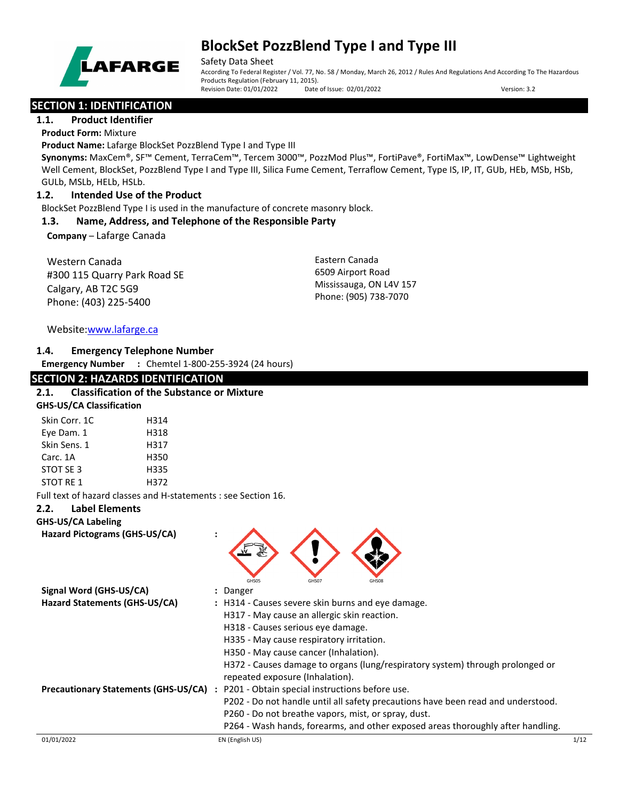

Safety Data Sheet

According To Federal Register / Vol. 77, No. 58 / Monday, March 26, 2012 / Rules And Regulations And According To The Hazardous Products Regulation (February 11, 2015). Revision Date: 01/01/2022 Date of Issue: 02/01/2022 Version: 3.2

## **SECTION 1: IDENTIFICATION**

## **1.1. Product Identifier**

**Product Form:** Mixture

**Product Name:** Lafarge BlockSet PozzBlend Type I and Type III

**Synonyms:** MaxCem®, SF™ Cement, TerraCem™, Tercem 3000™, PozzMod Plus™, FortiPave®, FortiMax™, LowDense™ Lightweight Well Cement, BlockSet, PozzBlend Type I and Type III, Silica Fume Cement, Terraflow Cement, Type IS, IP, IT, GUb, HEb, MSb, HSb, GULb, MSLb, HELb, HSLb.

## **1.2. Intended Use of the Product**

BlockSet PozzBlend Type I is used in the manufacture of concrete masonry block.

#### **1.3. Name, Address, and Telephone of the Responsible Party**

**Company** – Lafarge Canada

Western Canada #300 115 Quarry Park Road SE Calgary, AB T2C 5G9 Phone: (403) 225-5400

Eastern Canada 6509 Airport Road Mississauga, ON L4V 157 Phone: (905) 738-7070

## Website[:www.lafarge.ca](file://leon/customers/CUSTOMERS/Lafarge_North_America_Inc/Projects/Authoring_20180316/Batch_Folder/B_Draft_SDS/MS_Word_Files/www.lafarge.ca)

## **1.4. Emergency Telephone Number**

**Emergency Number :** Chemtel 1-800-255-3924 (24 hours)

## **SECTION 2: HAZARDS IDENTIFICATION**

## **2.1. Classification of the Substance or Mixture GHS-US/CA Classification** Skin Corr. 1C 
H314 Eye Dam. 1 H318 Skin Sens. 1 H317 Carc. 1A H350 STOT SE 3 H335 STOT RE 1 H372 Full text of hazard classes and H-statements : see Section 16. **2.2. Label Elements GHS-US/CA Labeling Hazard Pictograms (GHS-US/CA) :**

|                                             | GHS05                                               | GHS07 | GHS08 |                                                                                  |      |
|---------------------------------------------|-----------------------------------------------------|-------|-------|----------------------------------------------------------------------------------|------|
| Signal Word (GHS-US/CA)                     | : Danger                                            |       |       |                                                                                  |      |
| Hazard Statements (GHS-US/CA)               | : H314 - Causes severe skin burns and eye damage.   |       |       |                                                                                  |      |
|                                             | H317 - May cause an allergic skin reaction.         |       |       |                                                                                  |      |
|                                             | H318 - Causes serious eye damage.                   |       |       |                                                                                  |      |
|                                             | H335 - May cause respiratory irritation.            |       |       |                                                                                  |      |
|                                             | H350 - May cause cancer (Inhalation).               |       |       |                                                                                  |      |
|                                             | repeated exposure (Inhalation).                     |       |       | H372 - Causes damage to organs (lung/respiratory system) through prolonged or    |      |
| <b>Precautionary Statements (GHS-US/CA)</b> | : P201 - Obtain special instructions before use.    |       |       |                                                                                  |      |
|                                             |                                                     |       |       | P202 - Do not handle until all safety precautions have been read and understood. |      |
|                                             | P260 - Do not breathe vapors, mist, or spray, dust. |       |       |                                                                                  |      |
|                                             |                                                     |       |       | P264 - Wash hands, forearms, and other exposed areas thoroughly after handling.  |      |
| 01/01/2022                                  | EN (English US)                                     |       |       |                                                                                  | 1/12 |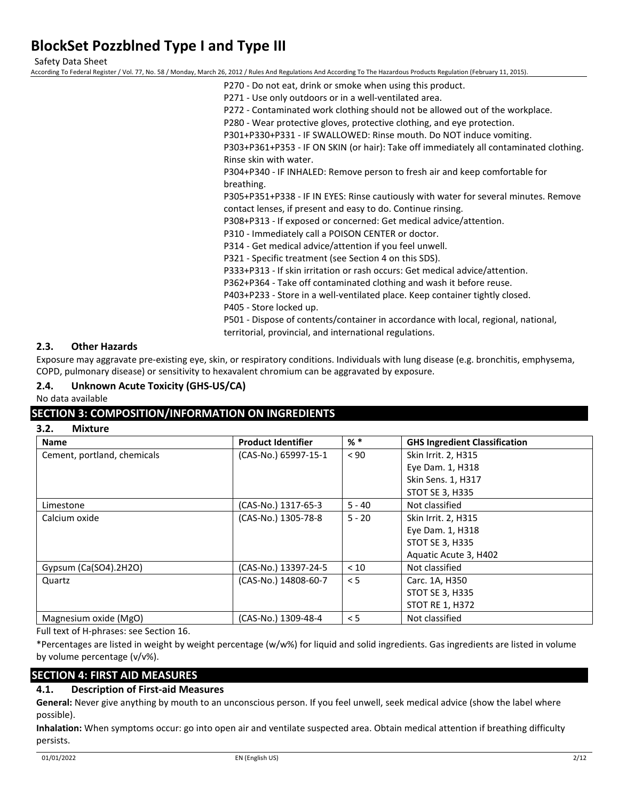Safety Data Sheet

According To Federal Register / Vol. 77, No. 58 / Monday, March 26, 2012 / Rules And Regulations And According To The Hazardous Products Regulation (February 11, 2015).

- P270 Do not eat, drink or smoke when using this product.
- P271 Use only outdoors or in a well-ventilated area.

P272 - Contaminated work clothing should not be allowed out of the workplace.

P280 - Wear protective gloves, protective clothing, and eye protection.

P301+P330+P331 - IF SWALLOWED: Rinse mouth. Do NOT induce vomiting.

P303+P361+P353 - IF ON SKIN (or hair): Take off immediately all contaminated clothing. Rinse skin with water.

P304+P340 - IF INHALED: Remove person to fresh air and keep comfortable for breathing.

P305+P351+P338 - IF IN EYES: Rinse cautiously with water for several minutes. Remove contact lenses, if present and easy to do. Continue rinsing.

P308+P313 - If exposed or concerned: Get medical advice/attention.

P310 - Immediately call a POISON CENTER or doctor.

P314 - Get medical advice/attention if you feel unwell.

P321 - Specific treatment (see Section 4 on this SDS).

P333+P313 - If skin irritation or rash occurs: Get medical advice/attention.

P362+P364 - Take off contaminated clothing and wash it before reuse.

P403+P233 - Store in a well-ventilated place. Keep container tightly closed.

P405 - Store locked up.

P501 - Dispose of contents/container in accordance with local, regional, national, territorial, provincial, and international regulations.

#### **2.3. Other Hazards**

Exposure may aggravate pre-existing eye, skin, or respiratory conditions. Individuals with lung disease (e.g. bronchitis, emphysema, COPD, pulmonary disease) or sensitivity to hexavalent chromium can be aggravated by exposure.

**2.4. Unknown Acute Toxicity (GHS-US/CA)**

#### No data available

## **SECTION 3: COMPOSITION/INFORMATION ON INGREDIENTS**

| <b>Name</b>                 | <b>Product Identifier</b> | $%$ *    | <b>GHS Ingredient Classification</b> |
|-----------------------------|---------------------------|----------|--------------------------------------|
| Cement, portland, chemicals | (CAS-No.) 65997-15-1      | < 90     | Skin Irrit. 2, H315                  |
|                             |                           |          | Eye Dam. 1, H318                     |
|                             |                           |          | Skin Sens. 1, H317                   |
|                             |                           |          | <b>STOT SE 3, H335</b>               |
| Limestone                   | (CAS-No.) 1317-65-3       | $5 - 40$ | Not classified                       |
| Calcium oxide               | (CAS-No.) 1305-78-8       | $5 - 20$ | Skin Irrit. 2, H315                  |
|                             |                           |          | Eye Dam. 1, H318                     |
|                             |                           |          | <b>STOT SE 3, H335</b>               |
|                             |                           |          | Aquatic Acute 3, H402                |
| Gypsum $(Ca(SO4).2H2O)$     | (CAS-No.) 13397-24-5      | < 10     | Not classified                       |
| Quartz                      | (CAS-No.) 14808-60-7      | < 5      | Carc. 1A, H350                       |
|                             |                           |          | <b>STOT SE 3, H335</b>               |
|                             |                           |          | <b>STOT RE 1, H372</b>               |
| Magnesium oxide (MgO)       | (CAS-No.) 1309-48-4       | < 5      | Not classified                       |

Full text of H-phrases: see Section 16.

\*Percentages are listed in weight by weight percentage (w/w%) for liquid and solid ingredients. Gas ingredients are listed in volume by volume percentage (v/v%).

## **SECTION 4: FIRST AID MEASURES**

#### **4.1. Description of First-aid Measures**

**General:** Never give anything by mouth to an unconscious person. If you feel unwell, seek medical advice (show the label where possible).

**Inhalation:** When symptoms occur: go into open air and ventilate suspected area. Obtain medical attention if breathing difficulty persists.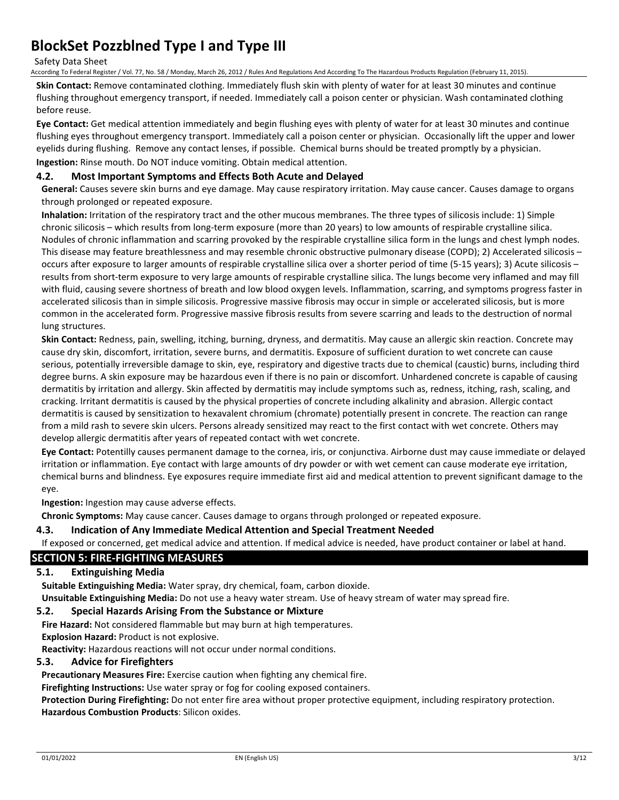Safety Data Sheet

According To Federal Register / Vol. 77, No. 58 / Monday, March 26, 2012 / Rules And Regulations And According To The Hazardous Products Regulation (February 11, 2015).

**Skin Contact:** Remove contaminated clothing. Immediately flush skin with plenty of water for at least 30 minutes and continue flushing throughout emergency transport, if needed. Immediately call a poison center or physician. Wash contaminated clothing before reuse.

**Eye Contact:** Get medical attention immediately and begin flushing eyes with plenty of water for at least 30 minutes and continue flushing eyes throughout emergency transport. Immediately call a poison center or physician. Occasionally lift the upper and lower eyelids during flushing. Remove any contact lenses, if possible. Chemical burns should be treated promptly by a physician. **Ingestion:** Rinse mouth. Do NOT induce vomiting. Obtain medical attention.

#### **4.2. Most Important Symptoms and Effects Both Acute and Delayed**

**General:** Causes severe skin burns and eye damage. May cause respiratory irritation. May cause cancer. Causes damage to organs through prolonged or repeated exposure.

**Inhalation:** Irritation of the respiratory tract and the other mucous membranes. The three types of silicosis include: 1) Simple chronic silicosis – which results from long-term exposure (more than 20 years) to low amounts of respirable crystalline silica. Nodules of chronic inflammation and scarring provoked by the respirable crystalline silica form in the lungs and chest lymph nodes. This disease may feature breathlessness and may resemble chronic obstructive pulmonary disease (COPD); 2) Accelerated silicosis – occurs after exposure to larger amounts of respirable crystalline silica over a shorter period of time (5-15 years); 3) Acute silicosis – results from short-term exposure to very large amounts of respirable crystalline silica. The lungs become very inflamed and may fill with fluid, causing severe shortness of breath and low blood oxygen levels. Inflammation, scarring, and symptoms progress faster in accelerated silicosis than in simple silicosis. Progressive massive fibrosis may occur in simple or accelerated silicosis, but is more common in the accelerated form. Progressive massive fibrosis results from severe scarring and leads to the destruction of normal lung structures.

**Skin Contact:** Redness, pain, swelling, itching, burning, dryness, and dermatitis. May cause an allergic skin reaction. Concrete may cause dry skin, discomfort, irritation, severe burns, and dermatitis. Exposure of sufficient duration to wet concrete can cause serious, potentially irreversible damage to skin, eye, respiratory and digestive tracts due to chemical (caustic) burns, including third degree burns. A skin exposure may be hazardous even if there is no pain or discomfort. Unhardened concrete is capable of causing dermatitis by irritation and allergy. Skin affected by dermatitis may include symptoms such as, redness, itching, rash, scaling, and cracking. Irritant dermatitis is caused by the physical properties of concrete including alkalinity and abrasion. Allergic contact dermatitis is caused by sensitization to hexavalent chromium (chromate) potentially present in concrete. The reaction can range from a mild rash to severe skin ulcers. Persons already sensitized may react to the first contact with wet concrete. Others may develop allergic dermatitis after years of repeated contact with wet concrete.

**Eye Contact:** Potentilly causes permanent damage to the cornea, iris, or conjunctiva. Airborne dust may cause immediate or delayed irritation or inflammation. Eye contact with large amounts of dry powder or with wet cement can cause moderate eye irritation, chemical burns and blindness. Eye exposures require immediate first aid and medical attention to prevent significant damage to the eye.

**Ingestion:** Ingestion may cause adverse effects.

**Chronic Symptoms:** May cause cancer. Causes damage to organs through prolonged or repeated exposure.

#### **4.3. Indication of Any Immediate Medical Attention and Special Treatment Needed**

If exposed or concerned, get medical advice and attention. If medical advice is needed, have product container or label at hand.

#### **SECTION 5: FIRE-FIGHTING MEASURES**

#### **5.1. Extinguishing Media**

**Suitable Extinguishing Media:** Water spray, dry chemical, foam, carbon dioxide.

**Unsuitable Extinguishing Media:** Do not use a heavy water stream. Use of heavy stream of water may spread fire.

#### **5.2. Special Hazards Arising From the Substance or Mixture**

**Fire Hazard:** Not considered flammable but may burn at high temperatures.

**Explosion Hazard:** Product is not explosive.

**Reactivity:** Hazardous reactions will not occur under normal conditions.

#### **5.3. Advice for Firefighters**

**Precautionary Measures Fire:** Exercise caution when fighting any chemical fire.

**Firefighting Instructions:** Use water spray or fog for cooling exposed containers.

**Protection During Firefighting:** Do not enter fire area without proper protective equipment, including respiratory protection. **Hazardous Combustion Products**: Silicon oxides.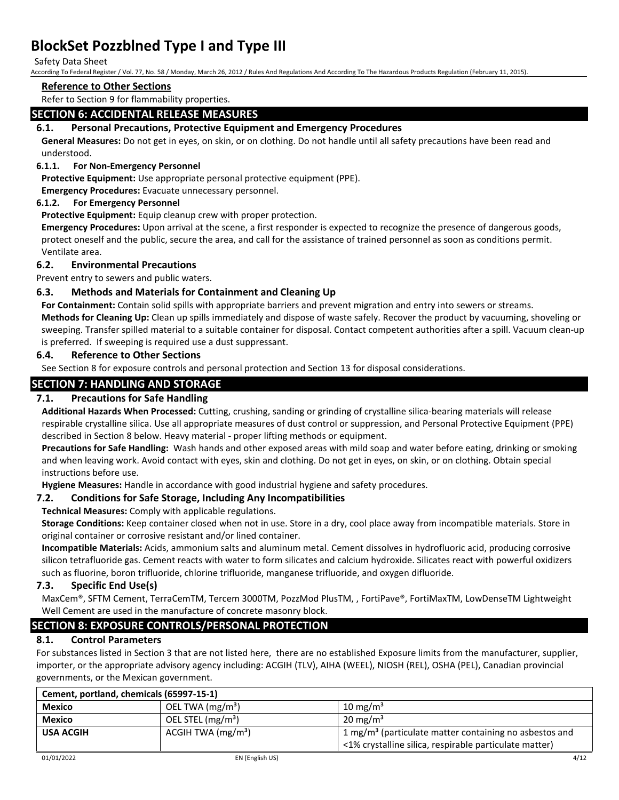#### Safety Data Sheet

According To Federal Register / Vol. 77, No. 58 / Monday, March 26, 2012 / Rules And Regulations And According To The Hazardous Products Regulation (February 11, 2015).

## **Reference to Other Sections**

Refer to Section 9 for flammability properties.

## **SECTION 6: ACCIDENTAL RELEASE MEASURES**

#### **6.1. Personal Precautions, Protective Equipment and Emergency Procedures**

**General Measures:** Do not get in eyes, on skin, or on clothing. Do not handle until all safety precautions have been read and understood.

#### **6.1.1. For Non-Emergency Personnel**

**Protective Equipment:** Use appropriate personal protective equipment (PPE).

**Emergency Procedures:** Evacuate unnecessary personnel.

#### **6.1.2. For Emergency Personnel**

**Protective Equipment:** Equip cleanup crew with proper protection.

**Emergency Procedures:** Upon arrival at the scene, a first responder is expected to recognize the presence of dangerous goods, protect oneself and the public, secure the area, and call for the assistance of trained personnel as soon as conditions permit. Ventilate area.

#### **6.2. Environmental Precautions**

Prevent entry to sewers and public waters.

#### **6.3. Methods and Materials for Containment and Cleaning Up**

**For Containment:** Contain solid spills with appropriate barriers and prevent migration and entry into sewers or streams. **Methods for Cleaning Up:** Clean up spills immediately and dispose of waste safely. Recover the product by vacuuming, shoveling or sweeping. Transfer spilled material to a suitable container for disposal. Contact competent authorities after a spill. Vacuum clean-up is preferred. If sweeping is required use a dust suppressant.

#### **6.4. Reference to Other Sections**

See Section 8 for exposure controls and personal protection and Section 13 for disposal considerations.

## **SECTION 7: HANDLING AND STORAGE**

#### **7.1. Precautions for Safe Handling**

**Additional Hazards When Processed:** Cutting, crushing, sanding or grinding of crystalline silica-bearing materials will release respirable crystalline silica. Use all appropriate measures of dust control or suppression, and Personal Protective Equipment (PPE) described in Section 8 below. Heavy material - proper lifting methods or equipment.

**Precautions for Safe Handling:** Wash hands and other exposed areas with mild soap and water before eating, drinking or smoking and when leaving work. Avoid contact with eyes, skin and clothing. Do not get in eyes, on skin, or on clothing. Obtain special instructions before use.

**Hygiene Measures:** Handle in accordance with good industrial hygiene and safety procedures.

#### **7.2. Conditions for Safe Storage, Including Any Incompatibilities**

#### **Technical Measures:** Comply with applicable regulations.

**Storage Conditions:** Keep container closed when not in use. Store in a dry, cool place away from incompatible materials. Store in original container or corrosive resistant and/or lined container.

**Incompatible Materials:** Acids, ammonium salts and aluminum metal. Cement dissolves in hydrofluoric acid, producing corrosive silicon tetrafluoride gas. Cement reacts with water to form silicates and calcium hydroxide. Silicates react with powerful oxidizers such as fluorine, boron trifluoride, chlorine trifluoride, manganese trifluoride, and oxygen difluoride.

#### **7.3. Specific End Use(s)**

MaxCem®, SFTM Cement, TerraCemTM, Tercem 3000TM, PozzMod PlusTM, , FortiPave®, FortiMaxTM, LowDenseTM Lightweight Well Cement are used in the manufacture of concrete masonry block.

## **SECTION 8: EXPOSURE CONTROLS/PERSONAL PROTECTION**

#### **8.1. Control Parameters**

For substances listed in Section 3 that are not listed here, there are no established Exposure limits from the manufacturer, supplier, importer, or the appropriate advisory agency including: ACGIH (TLV), AIHA (WEEL), NIOSH (REL), OSHA (PEL), Canadian provincial governments, or the Mexican government.

| Cement, portland, chemicals (65997-15-1) |                               |                                                                                                                              |  |  |
|------------------------------------------|-------------------------------|------------------------------------------------------------------------------------------------------------------------------|--|--|
| <b>Mexico</b>                            | OEL TWA $(mg/m3)$             | 10 mg/m <sup>3</sup>                                                                                                         |  |  |
| <b>Mexico</b>                            | OEL STEL (mg/m <sup>3</sup> ) | $20 \text{ mg/m}^3$                                                                                                          |  |  |
| <b>USA ACGIH</b>                         | ACGIH TWA $(mg/m3)$           | 1 mg/m <sup>3</sup> (particulate matter containing no asbestos and<br><1% crystalline silica, respirable particulate matter) |  |  |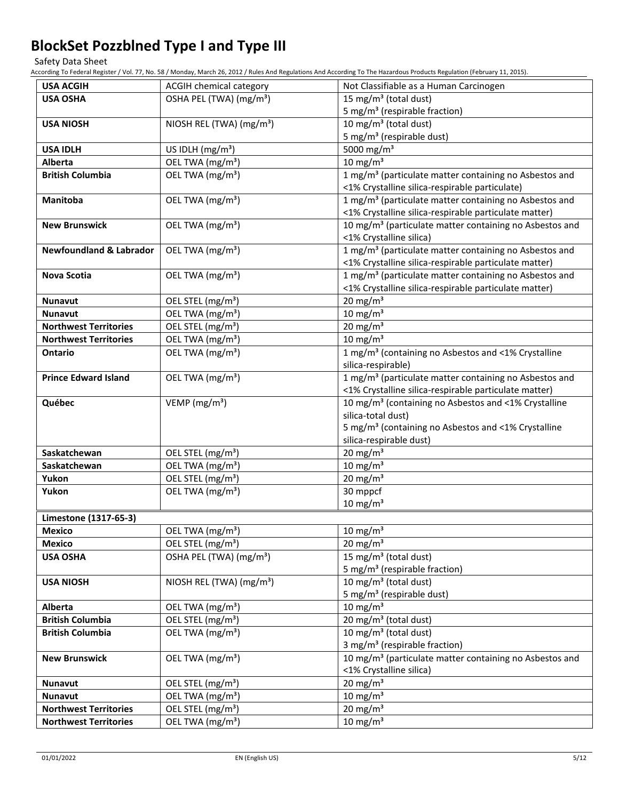Safety Data Sheet

According To Federal Register / Vol. 77, No. 58 / Monday, March 26, 2012 / Rules And Regulations And According To The Hazardous Products Regulation (February 11, 2015).

| <b>USA ACGIH</b>                   | ACGIH chemical category              | Not Classifiable as a Human Carcinogen                              |
|------------------------------------|--------------------------------------|---------------------------------------------------------------------|
| <b>USA OSHA</b>                    | OSHA PEL (TWA) (mg/m <sup>3</sup> )  | 15 mg/m <sup>3</sup> (total dust)                                   |
|                                    |                                      | 5 mg/m <sup>3</sup> (respirable fraction)                           |
| <b>USA NIOSH</b>                   | NIOSH REL (TWA) (mg/m <sup>3</sup> ) | 10 mg/m <sup>3</sup> (total dust)                                   |
|                                    |                                      | 5 mg/m <sup>3</sup> (respirable dust)                               |
| <b>USA IDLH</b>                    | US IDLH $(mg/m3)$                    | 5000 mg/m <sup>3</sup>                                              |
| <b>Alberta</b>                     | OEL TWA (mg/m <sup>3</sup> )         | 10 mg/m $3$                                                         |
| <b>British Columbia</b>            | OEL TWA (mg/m <sup>3</sup> )         | 1 mg/m <sup>3</sup> (particulate matter containing no Asbestos and  |
|                                    |                                      | <1% Crystalline silica-respirable particulate)                      |
| Manitoba                           | OEL TWA (mg/m <sup>3</sup> )         | 1 mg/m <sup>3</sup> (particulate matter containing no Asbestos and  |
|                                    |                                      | <1% Crystalline silica-respirable particulate matter)               |
| <b>New Brunswick</b>               | OEL TWA (mg/m <sup>3</sup> )         | 10 mg/m <sup>3</sup> (particulate matter containing no Asbestos and |
|                                    |                                      | <1% Crystalline silica)                                             |
| <b>Newfoundland &amp; Labrador</b> | OEL TWA (mg/m <sup>3</sup> )         | 1 mg/m <sup>3</sup> (particulate matter containing no Asbestos and  |
|                                    |                                      | <1% Crystalline silica-respirable particulate matter)               |
| <b>Nova Scotia</b>                 | OEL TWA (mg/m <sup>3</sup> )         | 1 mg/m <sup>3</sup> (particulate matter containing no Asbestos and  |
|                                    |                                      | <1% Crystalline silica-respirable particulate matter)               |
| <b>Nunavut</b>                     | OEL STEL (mg/m <sup>3</sup> )        | 20 mg/m $3$                                                         |
| <b>Nunavut</b>                     | OEL TWA (mg/m <sup>3</sup> )         | 10 mg/m $3$                                                         |
| <b>Northwest Territories</b>       | OEL STEL (mg/m <sup>3</sup> )        | $20 \text{ mg/m}^3$                                                 |
| <b>Northwest Territories</b>       | OEL TWA (mg/m <sup>3</sup> )         | 10 mg/m $3$                                                         |
| <b>Ontario</b>                     | OEL TWA (mg/m <sup>3</sup> )         | 1 mg/m <sup>3</sup> (containing no Asbestos and <1% Crystalline     |
|                                    |                                      | silica-respirable)                                                  |
| <b>Prince Edward Island</b>        | OEL TWA (mg/m <sup>3</sup> )         | 1 mg/m <sup>3</sup> (particulate matter containing no Asbestos and  |
|                                    |                                      | <1% Crystalline silica-respirable particulate matter)               |
| Québec                             | VEMP ( $mg/m3$ )                     | 10 mg/m <sup>3</sup> (containing no Asbestos and <1% Crystalline    |
|                                    |                                      | silica-total dust)                                                  |
|                                    |                                      | 5 mg/m <sup>3</sup> (containing no Asbestos and <1% Crystalline     |
|                                    |                                      | silica-respirable dust)                                             |
| Saskatchewan                       | OEL STEL (mg/m <sup>3</sup> )        | $20 \text{ mg/m}^3$                                                 |
| Saskatchewan                       | OEL TWA (mg/m <sup>3</sup> )         | 10 mg/m $3$                                                         |
| Yukon                              | OEL STEL (mg/m <sup>3</sup> )        | $20 \text{ mg/m}^3$                                                 |
| Yukon                              | OEL TWA (mg/m <sup>3</sup> )         | 30 mppcf                                                            |
|                                    |                                      | $10 \text{ mg/m}^3$                                                 |
| Limestone (1317-65-3)              |                                      |                                                                     |
| Mexico                             | OEL TWA (mg/m <sup>3</sup> )         | $10 \text{ mg/m}^3$                                                 |
| <b>Mexico</b>                      | OEL STEL (mg/m <sup>3</sup> )        | $20 \text{ mg/m}^3$                                                 |
| <b>USA OSHA</b>                    | OSHA PEL (TWA) (mg/m <sup>3</sup> )  | 15 mg/m <sup>3</sup> (total dust)                                   |
|                                    |                                      | 5 mg/m <sup>3</sup> (respirable fraction)                           |
| <b>USA NIOSH</b>                   | NIOSH REL (TWA) (mg/m <sup>3</sup> ) | 10 mg/m <sup>3</sup> (total dust)                                   |
|                                    |                                      | 5 mg/m <sup>3</sup> (respirable dust)                               |
| <b>Alberta</b>                     | OEL TWA (mg/m <sup>3</sup> )         | $10 \text{ mg/m}^3$                                                 |
| <b>British Columbia</b>            | OEL STEL (mg/m <sup>3</sup> )        | 20 mg/m <sup>3</sup> (total dust)                                   |
| <b>British Columbia</b>            | OEL TWA (mg/m <sup>3</sup> )         | 10 mg/m <sup>3</sup> (total dust)                                   |
|                                    |                                      | 3 mg/m <sup>3</sup> (respirable fraction)                           |
| <b>New Brunswick</b>               | OEL TWA (mg/m <sup>3</sup> )         | 10 mg/m <sup>3</sup> (particulate matter containing no Asbestos and |
|                                    |                                      | <1% Crystalline silica)                                             |
| <b>Nunavut</b>                     | OEL STEL (mg/m <sup>3</sup> )        | $20$ mg/m <sup>3</sup><br>10 mg/m $3$                               |
| <b>Nunavut</b>                     | OEL TWA (mg/m <sup>3</sup> )         |                                                                     |
| <b>Northwest Territories</b>       | OEL STEL (mg/m <sup>3</sup> )        | 20 mg/m $3$                                                         |
| <b>Northwest Territories</b>       | OEL TWA (mg/m <sup>3</sup> )         | $10 \text{ mg/m}^3$                                                 |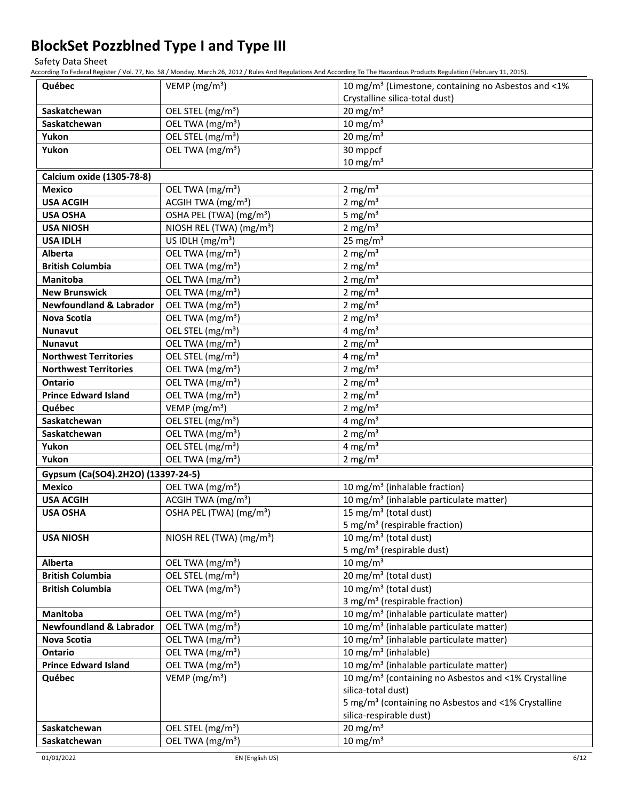Safety Data Sheet

According To Federal Register / Vol. 77, No. 58 / Monday, March 26, 2012 / Rules And Regulations And According To The Hazardous Products Regulation (February 11, 2015).

| Québec                             | VEMP ( $mg/m3$ )                     | 10 mg/m <sup>3</sup> (Limestone, containing no Asbestos and <1%  |
|------------------------------------|--------------------------------------|------------------------------------------------------------------|
|                                    |                                      | Crystalline silica-total dust)                                   |
| Saskatchewan                       | OEL STEL (mg/m <sup>3</sup> )        | $20$ mg/m <sup>3</sup>                                           |
| Saskatchewan                       | OEL TWA (mg/m <sup>3</sup> )         | $10$ mg/m <sup>3</sup>                                           |
| Yukon                              | OEL STEL (mg/m <sup>3</sup> )        | 20 mg/ $\overline{m^3}$                                          |
| Yukon                              | OEL TWA (mg/m <sup>3</sup> )         | 30 mppcf                                                         |
|                                    |                                      | $10$ mg/m <sup>3</sup>                                           |
| Calcium oxide (1305-78-8)          |                                      |                                                                  |
| <b>Mexico</b>                      | OEL TWA (mg/m <sup>3</sup> )         | 2 mg/ $m3$                                                       |
| <b>USA ACGIH</b>                   | ACGIH TWA (mg/m <sup>3</sup> )       | 2 mg/ $m3$                                                       |
| <b>USA OSHA</b>                    | OSHA PEL (TWA) (mg/m <sup>3</sup> )  | 5 mg/ $m3$                                                       |
| <b>USA NIOSH</b>                   | NIOSH REL (TWA) (mg/m <sup>3</sup> ) | 2 mg/ $m3$                                                       |
| <b>USA IDLH</b>                    | US IDLH $(mg/m3)$                    | 25 mg/ $m3$                                                      |
| Alberta                            | OEL TWA (mg/m <sup>3</sup> )         | 2 mg/ $m3$                                                       |
| <b>British Columbia</b>            | OEL TWA (mg/m <sup>3</sup> )         | 2 mg/ $m3$                                                       |
| <b>Manitoba</b>                    | OEL TWA (mg/m <sup>3</sup> )         | 2 mg/ $m3$                                                       |
| <b>New Brunswick</b>               | OEL TWA (mg/m <sup>3</sup> )         | 2 mg/ $m3$                                                       |
| <b>Newfoundland &amp; Labrador</b> | OEL TWA (mg/m <sup>3</sup> )         | 2 mg/ $m3$                                                       |
| <b>Nova Scotia</b>                 | OEL TWA (mg/m <sup>3</sup> )         | 2 mg/ $m3$                                                       |
| <b>Nunavut</b>                     | OEL STEL (mg/m <sup>3</sup> )        | 4 mg/m <sup>3</sup>                                              |
| <b>Nunavut</b>                     | OEL TWA (mg/m <sup>3</sup> )         | 2 mg/ $m3$                                                       |
| <b>Northwest Territories</b>       | OEL STEL (mg/m <sup>3</sup> )        | 4 mg/m <sup>3</sup>                                              |
| <b>Northwest Territories</b>       | OEL TWA (mg/m <sup>3</sup> )         | 2 mg/ $m3$                                                       |
| <b>Ontario</b>                     | OEL TWA (mg/m <sup>3</sup> )         | 2 mg/ $m3$                                                       |
| <b>Prince Edward Island</b>        | OEL TWA (mg/m <sup>3</sup> )         | 2 mg/ $m3$                                                       |
| Québec                             | VEMP (mg/m <sup>3</sup> )            | 2 mg/ $m3$                                                       |
| Saskatchewan                       | OEL STEL (mg/m <sup>3</sup> )        | 4 mg/m <sup>3</sup>                                              |
| Saskatchewan                       | OEL TWA (mg/m <sup>3</sup> )         | 2 mg/ $m3$                                                       |
| Yukon                              | OEL STEL (mg/m <sup>3</sup> )        | 4 mg/m <sup>3</sup>                                              |
| Yukon                              | OEL TWA (mg/m <sup>3</sup> )         | 2 mg/m $3$                                                       |
| Gypsum (Ca(SO4).2H2O) (13397-24-5) |                                      |                                                                  |
| <b>Mexico</b>                      | OEL TWA (mg/m <sup>3</sup> )         | 10 mg/m <sup>3</sup> (inhalable fraction)                        |
| <b>USA ACGIH</b>                   | ACGIH TWA (mg/m <sup>3</sup> )       | 10 mg/m <sup>3</sup> (inhalable particulate matter)              |
| <b>USA OSHA</b>                    | OSHA PEL (TWA) (mg/m <sup>3</sup> )  | 15 mg/m <sup>3</sup> (total dust)                                |
|                                    |                                      | 5 mg/m <sup>3</sup> (respirable fraction)                        |
| <b>USA NIOSH</b>                   | NIOSH REL (TWA) $(mg/m3)$            | 10 mg/m <sup>3</sup> (total dust)                                |
|                                    |                                      | 5 mg/m <sup>3</sup> (respirable dust)                            |
| Alberta                            | OEL TWA (mg/m <sup>3</sup> )         | $10 \text{ mg/m}^3$                                              |
| <b>British Columbia</b>            | OEL STEL (mg/m <sup>3</sup> )        | 20 mg/m <sup>3</sup> (total dust)                                |
| <b>British Columbia</b>            | OEL TWA (mg/m <sup>3</sup> )         | 10 mg/m <sup>3</sup> (total dust)                                |
|                                    |                                      | 3 mg/m <sup>3</sup> (respirable fraction)                        |
| <b>Manitoba</b>                    | OEL TWA (mg/m <sup>3</sup> )         | 10 mg/m <sup>3</sup> (inhalable particulate matter)              |
| <b>Newfoundland &amp; Labrador</b> | OEL TWA (mg/m <sup>3</sup> )         | 10 mg/m <sup>3</sup> (inhalable particulate matter)              |
| Nova Scotia                        | OEL TWA (mg/m <sup>3</sup> )         | 10 mg/m <sup>3</sup> (inhalable particulate matter)              |
| Ontario                            | OEL TWA (mg/m <sup>3</sup> )         | 10 mg/m <sup>3</sup> (inhalable)                                 |
| <b>Prince Edward Island</b>        | OEL TWA (mg/m <sup>3</sup> )         | 10 mg/m <sup>3</sup> (inhalable particulate matter)              |
| Québec                             | VEMP ( $mg/m3$ )                     | 10 mg/m <sup>3</sup> (containing no Asbestos and <1% Crystalline |
|                                    |                                      | silica-total dust)                                               |
|                                    |                                      | 5 mg/m <sup>3</sup> (containing no Asbestos and <1% Crystalline  |
|                                    |                                      | silica-respirable dust)                                          |
| Saskatchewan                       | OEL STEL (mg/m <sup>3</sup> )        | $20 \text{ mg/m}^3$                                              |
| Saskatchewan                       | OEL TWA (mg/m <sup>3</sup> )         | $10 \text{ mg/m}^3$                                              |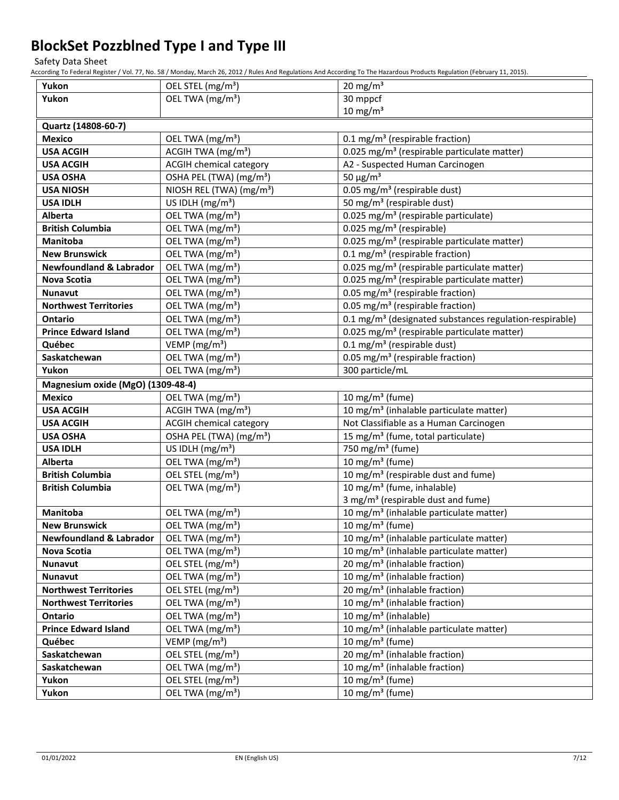Safety Data Sheet

According To Federal Register / Vol. 77, No. 58 / Monday, March 26, 2012 / Rules And Regulations And According To The Hazardous Products Regulation (February 11, 2015).

| Yukon                              | OEL STEL (mg/m <sup>3</sup> )        | 20 mg/m $3$                                                          |
|------------------------------------|--------------------------------------|----------------------------------------------------------------------|
| Yukon                              | OEL TWA (mg/m <sup>3</sup> )         | 30 mppcf                                                             |
|                                    |                                      | $10$ mg/m <sup>3</sup>                                               |
| Quartz (14808-60-7)                |                                      |                                                                      |
| <b>Mexico</b>                      | OEL TWA (mg/m <sup>3</sup> )         | 0.1 mg/m <sup>3</sup> (respirable fraction)                          |
| <b>USA ACGIH</b>                   | ACGIH TWA (mg/m <sup>3</sup> )       | 0.025 mg/m <sup>3</sup> (respirable particulate matter)              |
| <b>USA ACGIH</b>                   | <b>ACGIH chemical category</b>       | A2 - Suspected Human Carcinogen                                      |
| <b>USA OSHA</b>                    | OSHA PEL (TWA) (mg/m <sup>3</sup> )  | 50 $\mu$ g/m <sup>3</sup>                                            |
| <b>USA NIOSH</b>                   | NIOSH REL (TWA) (mg/m <sup>3</sup> ) | 0.05 mg/m <sup>3</sup> (respirable dust)                             |
| <b>USA IDLH</b>                    | US IDLH $(mg/m3)$                    | 50 mg/m <sup>3</sup> (respirable dust)                               |
| Alberta                            | OEL TWA (mg/m <sup>3</sup> )         | 0.025 mg/m <sup>3</sup> (respirable particulate)                     |
| <b>British Columbia</b>            | OEL TWA (mg/m <sup>3</sup> )         | 0.025 mg/m <sup>3</sup> (respirable)                                 |
| <b>Manitoba</b>                    | OEL TWA (mg/m <sup>3</sup> )         | 0.025 mg/m <sup>3</sup> (respirable particulate matter)              |
| <b>New Brunswick</b>               | OEL TWA (mg/m <sup>3</sup> )         | 0.1 mg/m <sup>3</sup> (respirable fraction)                          |
| <b>Newfoundland &amp; Labrador</b> | OEL TWA (mg/m <sup>3</sup> )         | 0.025 mg/m <sup>3</sup> (respirable particulate matter)              |
| Nova Scotia                        | OEL TWA (mg/m <sup>3</sup> )         | 0.025 mg/m <sup>3</sup> (respirable particulate matter)              |
| <b>Nunavut</b>                     | OEL TWA (mg/m <sup>3</sup> )         | 0.05 mg/m <sup>3</sup> (respirable fraction)                         |
| <b>Northwest Territories</b>       | OEL TWA (mg/m <sup>3</sup> )         | 0.05 mg/m <sup>3</sup> (respirable fraction)                         |
| Ontario                            | OEL TWA (mg/m <sup>3</sup> )         | 0.1 mg/m <sup>3</sup> (designated substances regulation-respirable)  |
| <b>Prince Edward Island</b>        | OEL TWA (mg/m <sup>3</sup> )         | 0.025 mg/m <sup>3</sup> (respirable particulate matter)              |
| Québec                             | VEMP ( $mg/m3$ )                     | 0.1 mg/m <sup>3</sup> (respirable dust)                              |
| Saskatchewan                       | OEL TWA (mg/m <sup>3</sup> )         | 0.05 mg/m <sup>3</sup> (respirable fraction)                         |
| Yukon                              | OEL TWA (mg/m <sup>3</sup> )         | 300 particle/mL                                                      |
| Magnesium oxide (MgO) (1309-48-4)  |                                      |                                                                      |
| <b>Mexico</b>                      | OEL TWA (mg/m <sup>3</sup> )         | 10 mg/m $3$ (fume)                                                   |
| <b>USA ACGIH</b>                   | ACGIH TWA (mg/m <sup>3</sup> )       | $\overline{10 \text{ mg}}/\text{m}^3$ (inhalable particulate matter) |
| <b>USA ACGIH</b>                   | <b>ACGIH chemical category</b>       | Not Classifiable as a Human Carcinogen                               |
| <b>USA OSHA</b>                    | OSHA PEL (TWA) (mg/m <sup>3</sup> )  | 15 mg/m <sup>3</sup> (fume, total particulate)                       |
| <b>USA IDLH</b>                    | US IDLH (mg/m <sup>3</sup> )         | 750 mg/m <sup>3</sup> (fume)                                         |
| Alberta                            | OEL TWA (mg/m <sup>3</sup> )         | 10 mg/m $3$ (fume)                                                   |
| <b>British Columbia</b>            | OEL STEL (mg/m <sup>3</sup> )        | 10 mg/m <sup>3</sup> (respirable dust and fume)                      |
| <b>British Columbia</b>            | OEL TWA (mg/m <sup>3</sup> )         | 10 mg/m <sup>3</sup> (fume, inhalable)                               |
|                                    |                                      | 3 mg/m <sup>3</sup> (respirable dust and fume)                       |
| Manitoba                           | OEL TWA (mg/m <sup>3</sup> )         | 10 mg/m <sup>3</sup> (inhalable particulate matter)                  |
| <b>New Brunswick</b>               | OEL TWA (mg/m <sup>3</sup> )         | 10 mg/m <sup>3</sup> (fume)                                          |
| <b>Newfoundland &amp; Labrador</b> | OEL TWA (mg/m <sup>3</sup> )         | 10 mg/m <sup>3</sup> (inhalable particulate matter)                  |
| Nova Scotia                        | OEL TWA (mg/m <sup>3</sup> )         | 10 mg/m <sup>3</sup> (inhalable particulate matter)                  |
| <b>Nunavut</b>                     | OEL STEL (mg/m <sup>3</sup> )        | 20 mg/m <sup>3</sup> (inhalable fraction)                            |
| <b>Nunavut</b>                     | OEL TWA (mg/m <sup>3</sup> )         | 10 mg/m <sup>3</sup> (inhalable fraction)                            |
| <b>Northwest Territories</b>       | OEL STEL (mg/m <sup>3</sup> )        | 20 mg/m <sup>3</sup> (inhalable fraction)                            |
| <b>Northwest Territories</b>       | OEL TWA (mg/m <sup>3</sup> )         | 10 mg/m <sup>3</sup> (inhalable fraction)                            |
| Ontario                            | OEL TWA (mg/m <sup>3</sup> )         | 10 mg/m <sup>3</sup> (inhalable)                                     |
| <b>Prince Edward Island</b>        | OEL TWA (mg/m <sup>3</sup> )         | 10 mg/m <sup>3</sup> (inhalable particulate matter)                  |
| Québec                             | VEMP ( $mg/m3$ )                     | 10 mg/m <sup>3</sup> (fume)                                          |
| Saskatchewan                       | OEL STEL (mg/m <sup>3</sup> )        | 20 mg/m <sup>3</sup> (inhalable fraction)                            |
| Saskatchewan                       | OEL TWA (mg/m <sup>3</sup> )         | 10 mg/m <sup>3</sup> (inhalable fraction)                            |
| Yukon                              | OEL STEL (mg/m <sup>3</sup> )        | 10 mg/m $3$ (fume)                                                   |
| Yukon                              | OEL TWA (mg/m <sup>3</sup> )         | 10 mg/m $3$ (fume)                                                   |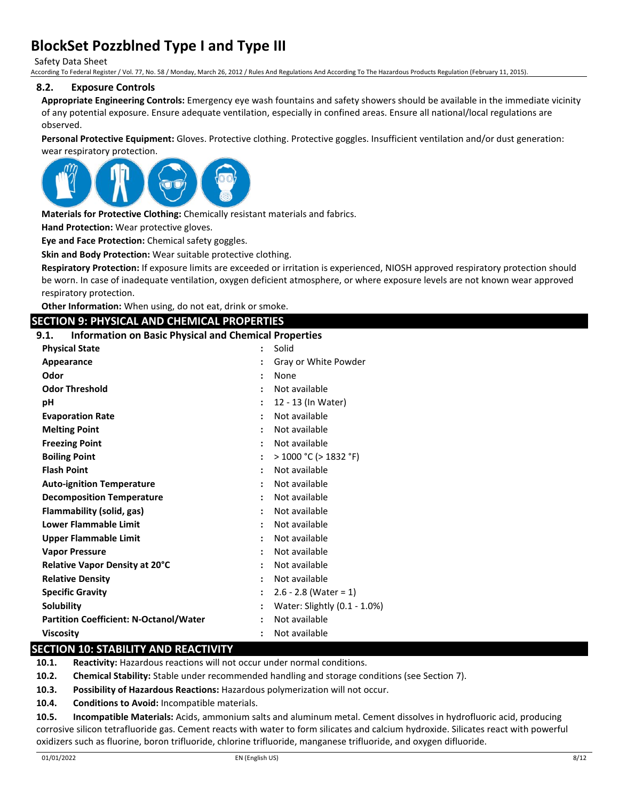Safety Data Sheet

According To Federal Register / Vol. 77, No. 58 / Monday, March 26, 2012 / Rules And Regulations And According To The Hazardous Products Regulation (February 11, 2015).

#### **8.2. Exposure Controls**

**Appropriate Engineering Controls:** Emergency eye wash fountains and safety showers should be available in the immediate vicinity of any potential exposure. Ensure adequate ventilation, especially in confined areas. Ensure all national/local regulations are observed.

**Personal Protective Equipment:** Gloves. Protective clothing. Protective goggles. Insufficient ventilation and/or dust generation: wear respiratory protection.



**Materials for Protective Clothing:** Chemically resistant materials and fabrics.

**Hand Protection:** Wear protective gloves.

**Eye and Face Protection:** Chemical safety goggles.

**Skin and Body Protection:** Wear suitable protective clothing.

**Respiratory Protection:** If exposure limits are exceeded or irritation is experienced, NIOSH approved respiratory protection should be worn. In case of inadequate ventilation, oxygen deficient atmosphere, or where exposure levels are not known wear approved respiratory protection.

**Other Information:** When using, do not eat, drink or smoke.

#### **SECTION 9: PHYSICAL AND CHEMICAL PROPERTIES**

#### **9.1. Information on Basic Physical and Chemical Properties**

| <b>Physical State</b>                         | $\ddot{\cdot}$       | Solid                        |
|-----------------------------------------------|----------------------|------------------------------|
| Appearance                                    |                      | Gray or White Powder         |
| Odor                                          |                      | None                         |
| <b>Odor Threshold</b>                         |                      | Not available                |
| рH                                            |                      | 12 - 13 (In Water)           |
| <b>Evaporation Rate</b>                       | $\ddot{\cdot}$       | Not available                |
| <b>Melting Point</b>                          |                      | Not available                |
| <b>Freezing Point</b>                         |                      | Not available                |
| <b>Boiling Point</b>                          | $\ddot{\phantom{a}}$ | $>$ 1000 °C ( $>$ 1832 °F)   |
| <b>Flash Point</b>                            |                      | Not available                |
| <b>Auto-ignition Temperature</b>              |                      | Not available                |
| <b>Decomposition Temperature</b>              | $\ddot{\cdot}$       | Not available                |
| Flammability (solid, gas)                     |                      | Not available                |
| Lower Flammable Limit                         |                      | Not available                |
| <b>Upper Flammable Limit</b>                  | $\ddot{\cdot}$       | Not available                |
| <b>Vapor Pressure</b>                         |                      | Not available                |
| Relative Vapor Density at 20°C                |                      | Not available                |
| <b>Relative Density</b>                       | $\ddot{\cdot}$       | Not available                |
| <b>Specific Gravity</b>                       |                      | $2.6 - 2.8$ (Water = 1)      |
| <b>Solubility</b>                             |                      | Water: Slightly (0.1 - 1.0%) |
| <b>Partition Coefficient: N-Octanol/Water</b> | $\ddot{\phantom{a}}$ | Not available                |
| <b>Viscosity</b>                              |                      | Not available                |

#### **SECTION 10: STABILITY AND REACTIVITY**

**10.1. Reactivity:** Hazardous reactions will not occur under normal conditions.

**10.2. Chemical Stability:** Stable under recommended handling and storage conditions (see Section 7).

**10.3. Possibility of Hazardous Reactions:** Hazardous polymerization will not occur.

**10.4. Conditions to Avoid:** Incompatible materials.

**10.5. Incompatible Materials:** Acids, ammonium salts and aluminum metal. Cement dissolves in hydrofluoric acid, producing corrosive silicon tetrafluoride gas. Cement reacts with water to form silicates and calcium hydroxide. Silicates react with powerful oxidizers such as fluorine, boron trifluoride, chlorine trifluoride, manganese trifluoride, and oxygen difluoride.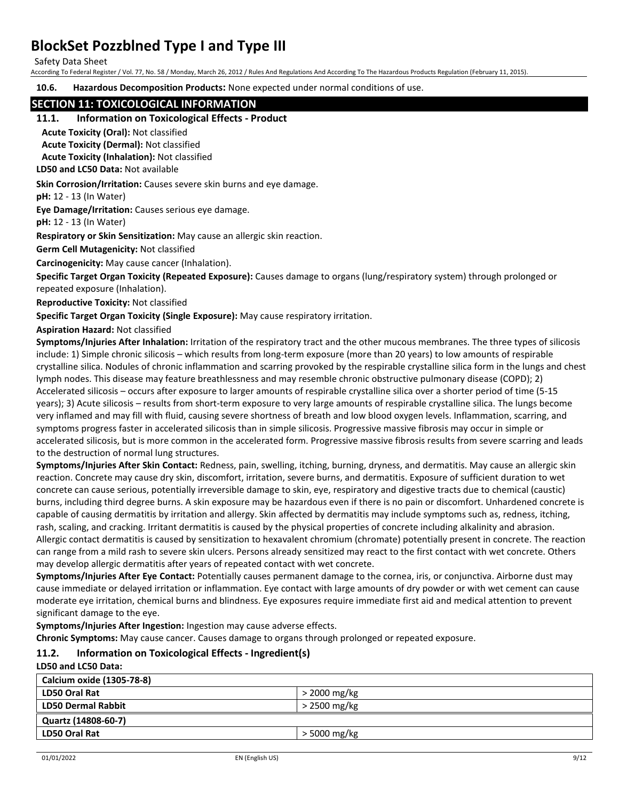Safety Data Sheet

According To Federal Register / Vol. 77, No. 58 / Monday, March 26, 2012 / Rules And Regulations And According To The Hazardous Products Regulation (February 11, 2015).

**10.6. Hazardous Decomposition Products:** None expected under normal conditions of use.

#### **SECTION 11: TOXICOLOGICAL INFORMATION**

#### **11.1. Information on Toxicological Effects - Product**

**Acute Toxicity (Oral):** Not classified

**Acute Toxicity (Dermal):** Not classified

**Acute Toxicity (Inhalation):** Not classified

**LD50 and LC50 Data:** Not available

**Skin Corrosion/Irritation:** Causes severe skin burns and eye damage.

**pH:** 12 - 13 (In Water)

**Eye Damage/Irritation:** Causes serious eye damage.

**pH:** 12 - 13 (In Water)

**Respiratory or Skin Sensitization:** May cause an allergic skin reaction.

**Germ Cell Mutagenicity:** Not classified

**Carcinogenicity:** May cause cancer (Inhalation).

**Specific Target Organ Toxicity (Repeated Exposure):** Causes damage to organs (lung/respiratory system) through prolonged or repeated exposure (Inhalation).

**Reproductive Toxicity:** Not classified

**Specific Target Organ Toxicity (Single Exposure):** May cause respiratory irritation.

**Aspiration Hazard:** Not classified

**Symptoms/Injuries After Inhalation:** Irritation of the respiratory tract and the other mucous membranes. The three types of silicosis include: 1) Simple chronic silicosis – which results from long-term exposure (more than 20 years) to low amounts of respirable crystalline silica. Nodules of chronic inflammation and scarring provoked by the respirable crystalline silica form in the lungs and chest lymph nodes. This disease may feature breathlessness and may resemble chronic obstructive pulmonary disease (COPD); 2) Accelerated silicosis – occurs after exposure to larger amounts of respirable crystalline silica over a shorter period of time (5-15 years); 3) Acute silicosis – results from short-term exposure to very large amounts of respirable crystalline silica. The lungs become very inflamed and may fill with fluid, causing severe shortness of breath and low blood oxygen levels. Inflammation, scarring, and symptoms progress faster in accelerated silicosis than in simple silicosis. Progressive massive fibrosis may occur in simple or accelerated silicosis, but is more common in the accelerated form. Progressive massive fibrosis results from severe scarring and leads to the destruction of normal lung structures.

**Symptoms/Injuries After Skin Contact:** Redness, pain, swelling, itching, burning, dryness, and dermatitis. May cause an allergic skin reaction. Concrete may cause dry skin, discomfort, irritation, severe burns, and dermatitis. Exposure of sufficient duration to wet concrete can cause serious, potentially irreversible damage to skin, eye, respiratory and digestive tracts due to chemical (caustic) burns, including third degree burns. A skin exposure may be hazardous even if there is no pain or discomfort. Unhardened concrete is capable of causing dermatitis by irritation and allergy. Skin affected by dermatitis may include symptoms such as, redness, itching, rash, scaling, and cracking. Irritant dermatitis is caused by the physical properties of concrete including alkalinity and abrasion. Allergic contact dermatitis is caused by sensitization to hexavalent chromium (chromate) potentially present in concrete. The reaction can range from a mild rash to severe skin ulcers. Persons already sensitized may react to the first contact with wet concrete. Others may develop allergic dermatitis after years of repeated contact with wet concrete.

**Symptoms/Injuries After Eye Contact:** Potentially causes permanent damage to the cornea, iris, or conjunctiva. Airborne dust may cause immediate or delayed irritation or inflammation. Eye contact with large amounts of dry powder or with wet cement can cause moderate eye irritation, chemical burns and blindness. Eye exposures require immediate first aid and medical attention to prevent significant damage to the eye.

**Symptoms/Injuries After Ingestion:** Ingestion may cause adverse effects.

**Chronic Symptoms:** May cause cancer. Causes damage to organs through prolonged or repeated exposure.

## **11.2. Information on Toxicological Effects - Ingredient(s)**

**LD50 and LC50 Data:**

| Calcium oxide (1305-78-8) |                |
|---------------------------|----------------|
| <b>LD50 Oral Rat</b>      | $>$ 2000 mg/kg |
| <b>LD50 Dermal Rabbit</b> | > 2500 mg/kg   |
| Quartz (14808-60-7)       |                |
| <b>LD50 Oral Rat</b>      | > 5000 mg/kg   |
|                           |                |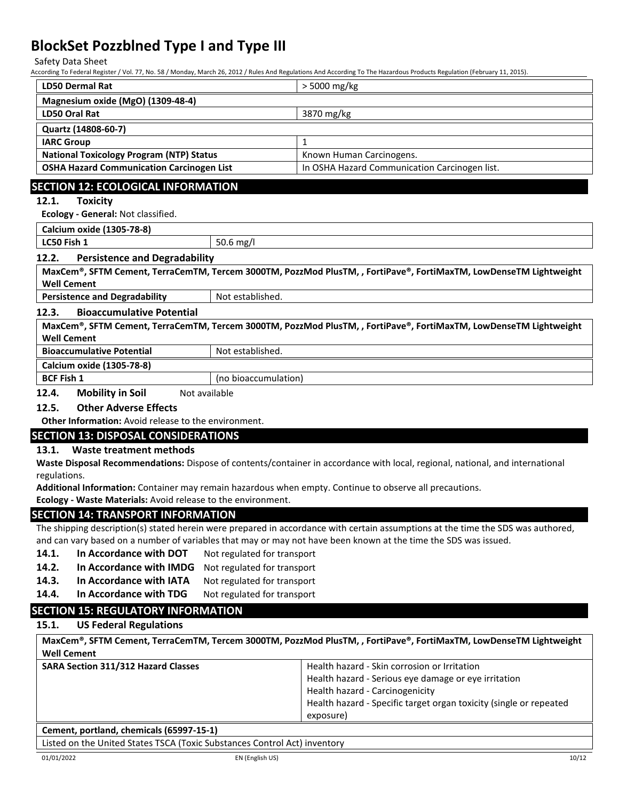Safety Data Sheet

According To Federal Register / Vol. 77, No. 58 / Monday, March 26, 2012 / Rules And Regulations And According To The Hazardous Products Regulation (February 11, 2015).

| <b>LD50 Dermal Rat</b>                                                                                                                                                  |                                                                | > 5000 mg/kg                                                                                                                     |  |  |  |  |
|-------------------------------------------------------------------------------------------------------------------------------------------------------------------------|----------------------------------------------------------------|----------------------------------------------------------------------------------------------------------------------------------|--|--|--|--|
| Magnesium oxide (MgO) (1309-48-4)                                                                                                                                       |                                                                |                                                                                                                                  |  |  |  |  |
| <b>LD50 Oral Rat</b>                                                                                                                                                    |                                                                | 3870 mg/kg                                                                                                                       |  |  |  |  |
| Quartz (14808-60-7)                                                                                                                                                     |                                                                |                                                                                                                                  |  |  |  |  |
| <b>IARC Group</b>                                                                                                                                                       |                                                                | $\mathbf{1}$                                                                                                                     |  |  |  |  |
| <b>National Toxicology Program (NTP) Status</b>                                                                                                                         |                                                                | Known Human Carcinogens.                                                                                                         |  |  |  |  |
| <b>OSHA Hazard Communication Carcinogen List</b>                                                                                                                        |                                                                | In OSHA Hazard Communication Carcinogen list.                                                                                    |  |  |  |  |
|                                                                                                                                                                         | <b>SECTION 12: ECOLOGICAL INFORMATION</b>                      |                                                                                                                                  |  |  |  |  |
| <b>Toxicity</b><br>12.1.                                                                                                                                                |                                                                |                                                                                                                                  |  |  |  |  |
| Ecology - General: Not classified.                                                                                                                                      |                                                                |                                                                                                                                  |  |  |  |  |
| Calcium oxide (1305-78-8)                                                                                                                                               |                                                                |                                                                                                                                  |  |  |  |  |
| LC50 Fish 1                                                                                                                                                             | 50.6 mg/l                                                      |                                                                                                                                  |  |  |  |  |
| 12.2.<br><b>Persistence and Degradability</b>                                                                                                                           |                                                                |                                                                                                                                  |  |  |  |  |
|                                                                                                                                                                         |                                                                | MaxCem®, SFTM Cement, TerraCemTM, Tercem 3000TM, PozzMod PlusTM, , FortiPave®, FortiMaxTM, LowDenseTM Lightweight                |  |  |  |  |
| <b>Well Cement</b>                                                                                                                                                      |                                                                |                                                                                                                                  |  |  |  |  |
| <b>Persistence and Degradability</b>                                                                                                                                    | Not established.                                               |                                                                                                                                  |  |  |  |  |
| 12.3.<br><b>Bioaccumulative Potential</b>                                                                                                                               |                                                                |                                                                                                                                  |  |  |  |  |
|                                                                                                                                                                         |                                                                | MaxCem®, SFTM Cement, TerraCemTM, Tercem 3000TM, PozzMod PlusTM, , FortiPave®, FortiMaxTM, LowDenseTM Lightweight                |  |  |  |  |
| <b>Well Cement</b>                                                                                                                                                      |                                                                |                                                                                                                                  |  |  |  |  |
| <b>Bioaccumulative Potential</b>                                                                                                                                        | Not established.                                               |                                                                                                                                  |  |  |  |  |
| Calcium oxide (1305-78-8)                                                                                                                                               |                                                                |                                                                                                                                  |  |  |  |  |
| <b>BCF Fish 1</b>                                                                                                                                                       | (no bioaccumulation)                                           |                                                                                                                                  |  |  |  |  |
| 12.4.<br><b>Mobility in Soil</b>                                                                                                                                        | Not available                                                  |                                                                                                                                  |  |  |  |  |
| 12.5.<br><b>Other Adverse Effects</b>                                                                                                                                   |                                                                |                                                                                                                                  |  |  |  |  |
| Other Information: Avoid release to the environment.                                                                                                                    |                                                                |                                                                                                                                  |  |  |  |  |
| <b>SECTION 13: DISPOSAL CONSIDERATIONS</b>                                                                                                                              |                                                                |                                                                                                                                  |  |  |  |  |
| <b>Waste treatment methods</b><br>13.1.                                                                                                                                 |                                                                |                                                                                                                                  |  |  |  |  |
| Waste Disposal Recommendations: Dispose of contents/container in accordance with local, regional, national, and international                                           |                                                                |                                                                                                                                  |  |  |  |  |
| regulations.                                                                                                                                                            |                                                                |                                                                                                                                  |  |  |  |  |
| Additional Information: Container may remain hazardous when empty. Continue to observe all precautions.<br>Ecology - Waste Materials: Avoid release to the environment. |                                                                |                                                                                                                                  |  |  |  |  |
|                                                                                                                                                                         |                                                                |                                                                                                                                  |  |  |  |  |
| <b>SECTION 14: TRANSPORT INFORMATION</b>                                                                                                                                |                                                                |                                                                                                                                  |  |  |  |  |
|                                                                                                                                                                         |                                                                | The shipping description(s) stated herein were prepared in accordance with certain assumptions at the time the SDS was authored, |  |  |  |  |
|                                                                                                                                                                         |                                                                | and can vary based on a number of variables that may or may not have been known at the time the SDS was issued.                  |  |  |  |  |
|                                                                                                                                                                         | 14.1.<br>In Accordance with DOT<br>Not regulated for transport |                                                                                                                                  |  |  |  |  |
| 14.2.<br>In Accordance with IMDG                                                                                                                                        | Not regulated for transport                                    |                                                                                                                                  |  |  |  |  |
| 14.3.<br>In Accordance with IATA                                                                                                                                        | Not regulated for transport                                    |                                                                                                                                  |  |  |  |  |

14.4. In Accordance with TDG Not regulated for transport

## **SECTION 15: REGULATORY INFORMATION**

## **15.1. US Federal Regulations**

| MaxCem®, SFTM Cement, TerraCemTM, Tercem 3000TM, PozzMod PlusTM, , FortiPave®, FortiMaxTM, LowDenseTM Lightweight<br><b>Well Cement</b> |                                                                    |
|-----------------------------------------------------------------------------------------------------------------------------------------|--------------------------------------------------------------------|
| <b>SARA Section 311/312 Hazard Classes</b>                                                                                              | Health hazard - Skin corrosion or Irritation                       |
|                                                                                                                                         | Health hazard - Serious eye damage or eye irritation               |
|                                                                                                                                         | Health hazard - Carcinogenicity                                    |
|                                                                                                                                         | Health hazard - Specific target organ toxicity (single or repeated |
|                                                                                                                                         | exposure)                                                          |
| Cement, portland, chemicals (65997-15-1)                                                                                                |                                                                    |

Listed on the United States TSCA (Toxic Substances Control Act) inventory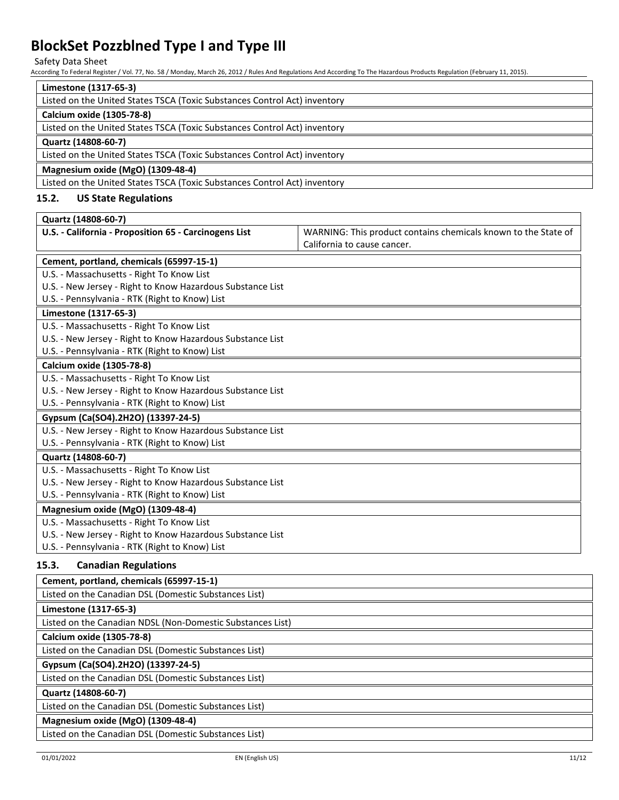Safety Data Sheet

According To Federal Register / Vol. 77, No. 58 / Monday, March 26, 2012 / Rules And Regulations And According To The Hazardous Products Regulation (February 11, 2015).

| Limestone (1317-65-3)                                                                            |                                                                |  |  |
|--------------------------------------------------------------------------------------------------|----------------------------------------------------------------|--|--|
| Listed on the United States TSCA (Toxic Substances Control Act) inventory                        |                                                                |  |  |
| Calcium oxide (1305-78-8)                                                                        |                                                                |  |  |
| Listed on the United States TSCA (Toxic Substances Control Act) inventory                        |                                                                |  |  |
| Quartz (14808-60-7)                                                                              |                                                                |  |  |
| Listed on the United States TSCA (Toxic Substances Control Act) inventory                        |                                                                |  |  |
| Magnesium oxide (MgO) (1309-48-4)                                                                |                                                                |  |  |
| Listed on the United States TSCA (Toxic Substances Control Act) inventory                        |                                                                |  |  |
| 15.2.<br><b>US State Regulations</b>                                                             |                                                                |  |  |
| Quartz (14808-60-7)                                                                              |                                                                |  |  |
| U.S. - California - Proposition 65 - Carcinogens List                                            | WARNING: This product contains chemicals known to the State of |  |  |
|                                                                                                  | California to cause cancer.                                    |  |  |
| Cement, portland, chemicals (65997-15-1)                                                         |                                                                |  |  |
| U.S. - Massachusetts - Right To Know List                                                        |                                                                |  |  |
| U.S. - New Jersey - Right to Know Hazardous Substance List                                       |                                                                |  |  |
| U.S. - Pennsylvania - RTK (Right to Know) List                                                   |                                                                |  |  |
| Limestone (1317-65-3)                                                                            |                                                                |  |  |
| U.S. - Massachusetts - Right To Know List                                                        |                                                                |  |  |
| U.S. - New Jersey - Right to Know Hazardous Substance List                                       |                                                                |  |  |
| U.S. - Pennsylvania - RTK (Right to Know) List                                                   |                                                                |  |  |
| Calcium oxide (1305-78-8)                                                                        |                                                                |  |  |
| U.S. - Massachusetts - Right To Know List                                                        |                                                                |  |  |
| U.S. - New Jersey - Right to Know Hazardous Substance List                                       |                                                                |  |  |
| U.S. - Pennsylvania - RTK (Right to Know) List                                                   |                                                                |  |  |
| Gypsum (Ca(SO4).2H2O) (13397-24-5)<br>U.S. - New Jersey - Right to Know Hazardous Substance List |                                                                |  |  |
| U.S. - Pennsylvania - RTK (Right to Know) List                                                   |                                                                |  |  |
| Quartz (14808-60-7)                                                                              |                                                                |  |  |
| U.S. - Massachusetts - Right To Know List                                                        |                                                                |  |  |
| U.S. - New Jersey - Right to Know Hazardous Substance List                                       |                                                                |  |  |
| U.S. - Pennsylvania - RTK (Right to Know) List                                                   |                                                                |  |  |
| Magnesium oxide (MgO) (1309-48-4)                                                                |                                                                |  |  |
| U.S. - Massachusetts - Right To Know List                                                        |                                                                |  |  |
| U.S. - New Jersey - Right to Know Hazardous Substance List                                       |                                                                |  |  |
| U.S. - Pennsylvania - RTK (Right to Know) List                                                   |                                                                |  |  |
| <b>Canadian Regulations</b><br>15.3.                                                             |                                                                |  |  |
| Cement, portland, chemicals (65997-15-1)                                                         |                                                                |  |  |
| Listed on the Canadian DSL (Domestic Substances List)                                            |                                                                |  |  |
| Limestone (1317-65-3)                                                                            |                                                                |  |  |
| Listed on the Canadian NDSL (Non-Domestic Substances List)                                       |                                                                |  |  |
| Calcium oxide (1305-78-8)                                                                        |                                                                |  |  |
| Listed on the Canadian DSL (Domestic Substances List)                                            |                                                                |  |  |
| Gypsum (Ca(SO4).2H2O) (13397-24-5)                                                               |                                                                |  |  |
| Listed on the Canadian DSL (Domestic Substances List)                                            |                                                                |  |  |
| Quartz (14808-60-7)                                                                              |                                                                |  |  |
| Listed on the Canadian DSL (Domestic Substances List)                                            |                                                                |  |  |
| Magnesium oxide (MgO) (1309-48-4)                                                                |                                                                |  |  |
|                                                                                                  |                                                                |  |  |

Listed on the Canadian DSL (Domestic Substances List)